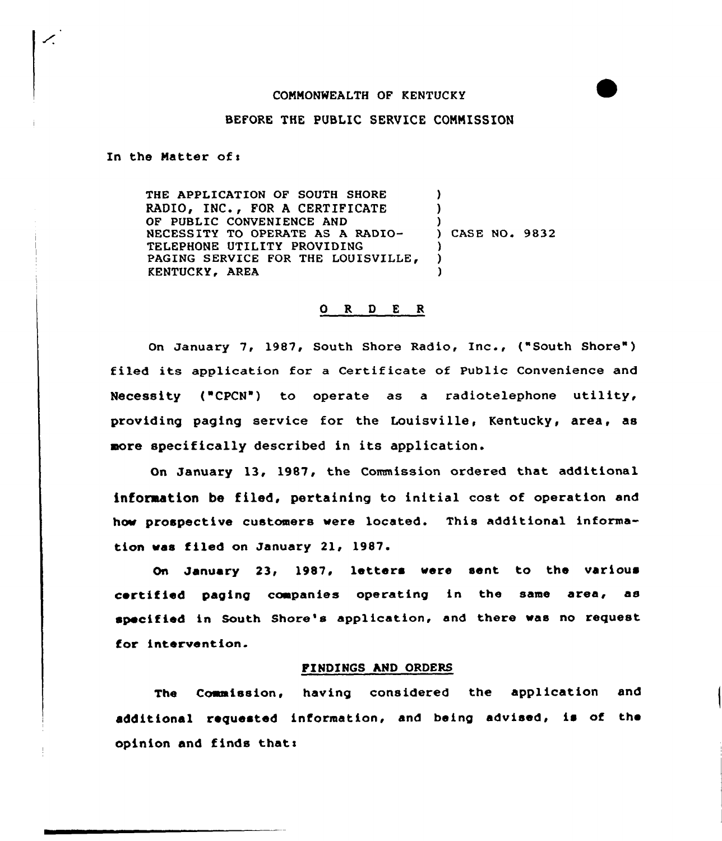#### COMMONWEALTH OF KENTUCKY

### BEFORE THE PUBLIC SERVICE COMMISSION

In the Matter of:

╱

THE APPLICATION OF SOUTH SHORE RADIO, INC., FOR A CERTIFICATE OF PUBLIC CONVENIENCE AND NECESSITY TO OPERATE AS A RADIO-TELEPHONE UTILITY PROVIDING PAGING SERVICE FOR THE LOUISVILLE, KENTUCKY, AREA ) ) )<br>) CASE NO. 9832 ) ) )

#### 0 R <sup>D</sup> <sup>E</sup> <sup>R</sup>

On January 7, 1987, South Shore Radio, Inc., ("South Shore" ) filed its application for a Certificate of Public Convenience and Necessity ("CPCN") to operate as a radiotelephone utility, providing paging service for the Louisville, Kentucky, area, as more specifically described in its application.

On January 13, 1987, the Commission ordered that additional inforaation be filed, pertaining to initial cost of operation and how prospective customers were located. This additional information was filed on January 21, 1987.

On January 23, 1987. letters vere sent to the various certified paging companies operating in the same area, as specified in South Shore's application, and there was no request for intervention.

## FINDINGS AND ORDERS

The Commission, having considered the application and additional requested information, and being advised, is of the opinion and finds thats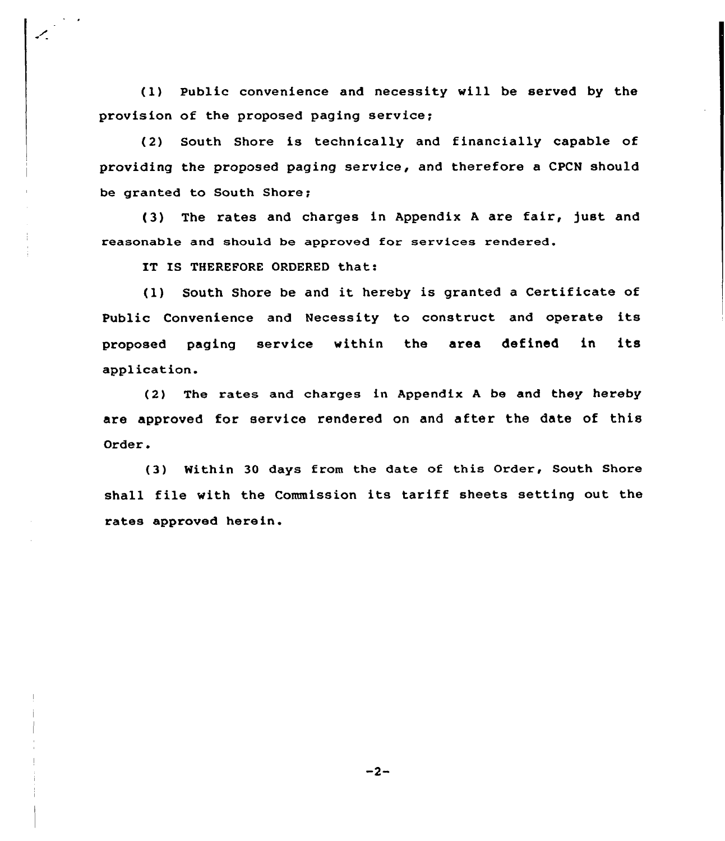(l) Public convenience and necessity will be served by the provision of the proposed paging service;

(2) South Shore is technically and financially capable of providing the proposed paging service, and therefore a CPCN should be granted to South Shore;

(3) The rates and charges in Appendix <sup>A</sup> are fair, just and reasonable and should be approved for services rendered.

IT IS THEREFORE ORDERED that:

(l) South Shore be and it hereby is granted <sup>a</sup> Certificate of Public Convenience and Necessity to construct and opexate its proposed paging service within the axes defined in its application.

(2) The rates and chaxges in Appendix <sup>A</sup> be and they hereby are approved for service rendered on and after the date of this Oxdex.

(3) Nithin 30 days from the date of this Order, South Shore shall file with the Commission its tax iff sheets setting out the rates approved herein.

 $-2-$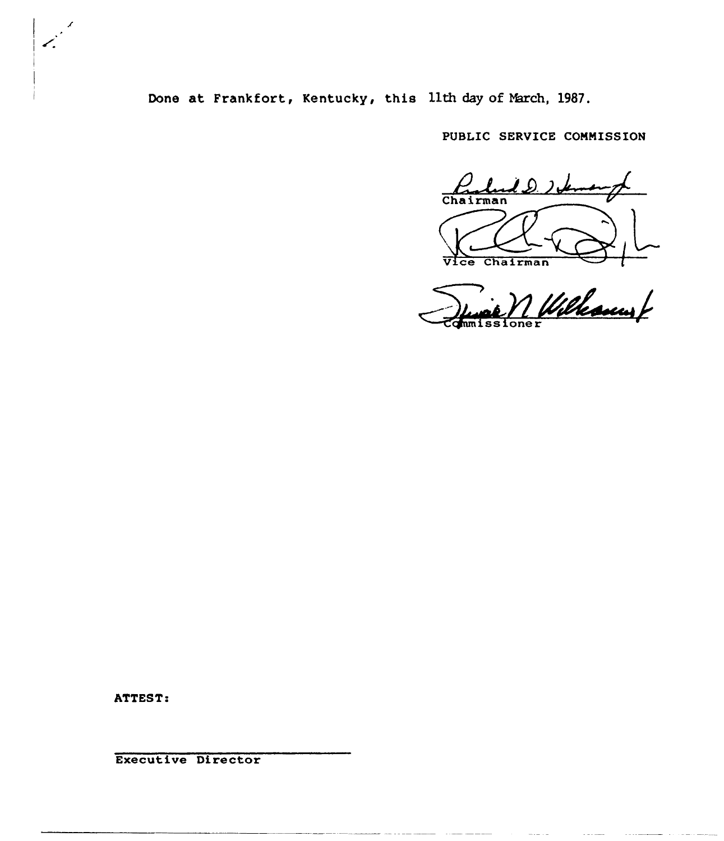Done at Frankfort, Kentucky, this llth day of March, 1987.

PUBLIC SERVICE CONNISSION

على 2 رايط هر Chairman

Vice Chairman<br>Junet / Willessen

ATTEST;

Executive Director